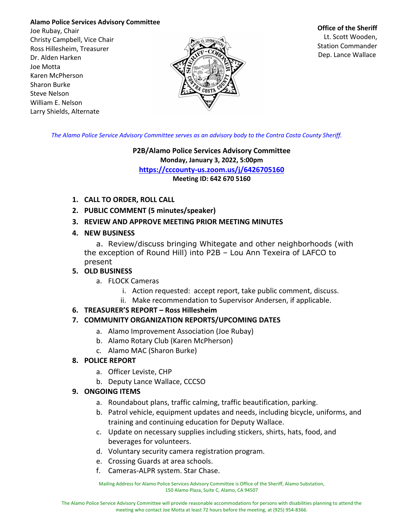#### **Alamo Police Services Advisory Committee**

Joe Rubay, Chair Christy Campbell, Vice Chair Ross Hillesheim, Treasurer Dr. Alden Harken Joe Motta Karen McPherson Sharon Burke Steve Nelson William E. Nelson Larry Shields, Alternate



#### **Office of the Sheriff**

Lt. Scott Wooden, Station Commander Dep. Lance Wallace

*The Alamo Police Service Advisory Committee serves as an advisory body to the Contra Costa County Sheriff.*

#### **P2B/Alamo Police Services Advisory Committee Monday, January 3, 2022, 5:00pm https://cccounty-us.zoom.us/j/6426705160 Meeting ID: 642 670 5160**

- **1. CALL TO ORDER, ROLL CALL**
- **2. PUBLIC COMMENT (5 minutes/speaker)**
- **3. REVIEW AND APPROVE MEETING PRIOR MEETING MINUTES**
- **4. NEW BUSINESS**

a. Review/discuss bringing Whitegate and other neighborhoods (with the exception of Round Hill) into P2B – Lou Ann Texeira of LAFCO to present

# **5. OLD BUSINESS**

- a. FLOCK Cameras
	- i. Action requested: accept report, take public comment, discuss.
	- ii. Make recommendation to Supervisor Andersen, if applicable.

# **6. TREASURER'S REPORT – Ross Hillesheim**

# **7. COMMUNITY ORGANIZATION REPORTS/UPCOMING DATES**

- a. Alamo Improvement Association (Joe Rubay)
- b. Alamo Rotary Club (Karen McPherson)
- c. Alamo MAC (Sharon Burke)

# **8. POLICE REPORT**

- a. Officer Leviste, CHP
- b. Deputy Lance Wallace, CCCSO

# **9. ONGOING ITEMS**

- a. Roundabout plans, traffic calming, traffic beautification, parking.
- b. Patrol vehicle, equipment updates and needs, including bicycle, uniforms, and training and continuing education for Deputy Wallace.
- c. Update on necessary supplies including stickers, shirts, hats, food, and beverages for volunteers.
- d. Voluntary security camera registration program.
- e. Crossing Guards at area schools.
- f. Cameras-ALPR system. Star Chase.

Mailing Address for Alamo Police Services Advisory Committee is Office of the Sheriff, Alamo Substation, 150 Alamo Plaza, Suite C, Alamo, CA 94507